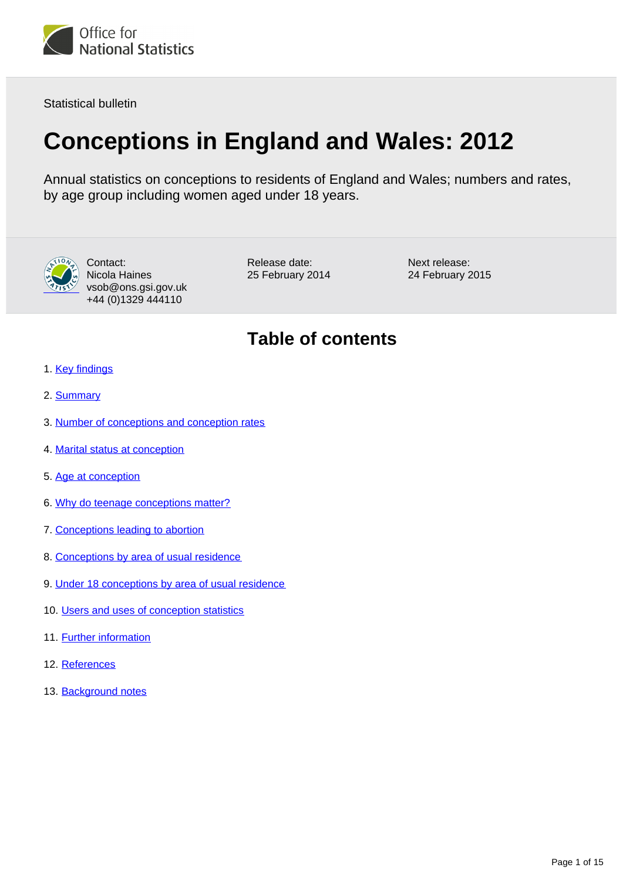

Statistical bulletin

# **Conceptions in England and Wales: 2012**

Annual statistics on conceptions to residents of England and Wales; numbers and rates, by age group including women aged under 18 years.



Contact: Nicola Haines vsob@ons.gsi.gov.uk +44 (0)1329 444110

Release date: 25 February 2014 Next release: 24 February 2015

## **Table of contents**

- 1. [Key findings](#page-1-0)
- 2. [Summary](#page-1-1)
- 3. [Number of conceptions and conception rates](#page-2-0)
- 4. [Marital status at conception](#page-3-0)
- 5. [Age at conception](#page-3-1)
- 6. [Why do teenage conceptions matter?](#page-6-0)
- 7. [Conceptions leading to abortion](#page-6-1)
- 8. [Conceptions by area of usual residence](#page-7-0)
- 9. [Under 18 conceptions by area of usual residence](#page-8-0)
- 10. [Users and uses of conception statistics](#page-10-0)
- 11. Further information
- 12. References
- 13. Background notes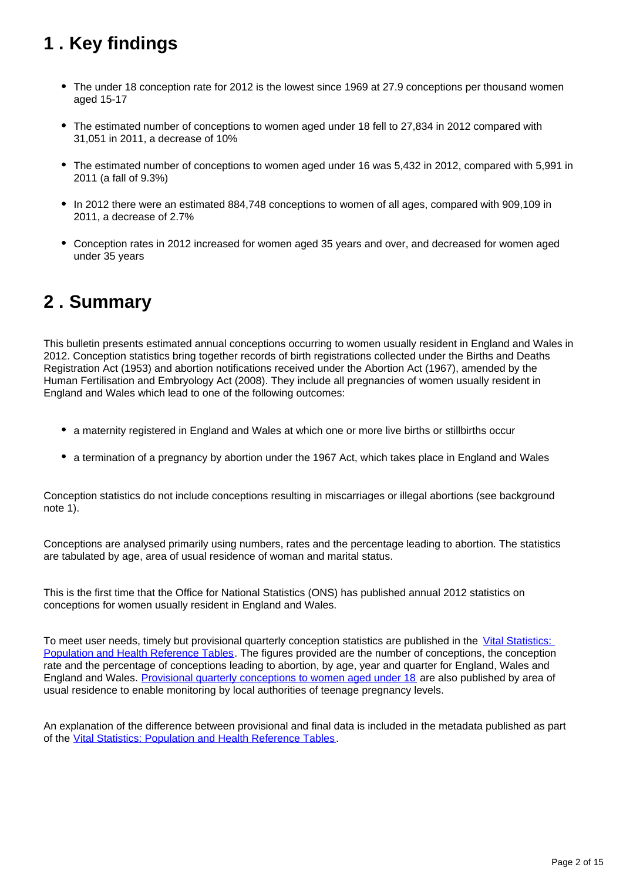## <span id="page-1-0"></span>**1 . Key findings**

- The under 18 conception rate for 2012 is the lowest since 1969 at 27.9 conceptions per thousand women aged 15-17
- The estimated number of conceptions to women aged under 18 fell to 27,834 in 2012 compared with 31,051 in 2011, a decrease of 10%
- The estimated number of conceptions to women aged under 16 was 5,432 in 2012, compared with 5,991 in 2011 (a fall of 9.3%)
- In 2012 there were an estimated 884,748 conceptions to women of all ages, compared with 909,109 in 2011, a decrease of 2.7%
- Conception rates in 2012 increased for women aged 35 years and over, and decreased for women aged under 35 years

### <span id="page-1-1"></span>**2 . Summary**

This bulletin presents estimated annual conceptions occurring to women usually resident in England and Wales in 2012. Conception statistics bring together records of birth registrations collected under the Births and Deaths Registration Act (1953) and abortion notifications received under the Abortion Act (1967), amended by the Human Fertilisation and Embryology Act (2008). They include all pregnancies of women usually resident in England and Wales which lead to one of the following outcomes:

- a maternity registered in England and Wales at which one or more live births or stillbirths occur
- a termination of a pregnancy by abortion under the 1967 Act, which takes place in England and Wales

Conception statistics do not include conceptions resulting in miscarriages or illegal abortions (see background note 1).

Conceptions are analysed primarily using numbers, rates and the percentage leading to abortion. The statistics are tabulated by age, area of usual residence of woman and marital status.

This is the first time that the Office for National Statistics (ONS) has published annual 2012 statistics on conceptions for women usually resident in England and Wales.

To meet user needs, timely but provisional quarterly conception statistics are published in the [Vital Statistics:](http://www.ons.gov.uk/ons/rel/vsob1/vital-statistics--population-and-health-reference-tables/index.html)  [Population and Health Reference Tables](http://www.ons.gov.uk/ons/rel/vsob1/vital-statistics--population-and-health-reference-tables/index.html). The figures provided are the number of conceptions, the conception rate and the percentage of conceptions leading to abortion, by age, year and quarter for England, Wales and England and Wales. [Provisional quarterly conceptions to women aged under 18](http://www.ons.gov.uk/ons/rel/vsob1/quart-conc-to-women-und-18/index.html) are also published by area of usual residence to enable monitoring by local authorities of teenage pregnancy levels.

An explanation of the difference between provisional and final data is included in the metadata published as part of the [Vital Statistics: Population and Health Reference Tables](http://www.ons.gov.uk/ons/rel/vsob1/vital-statistics--population-and-health-reference-tables/index.html).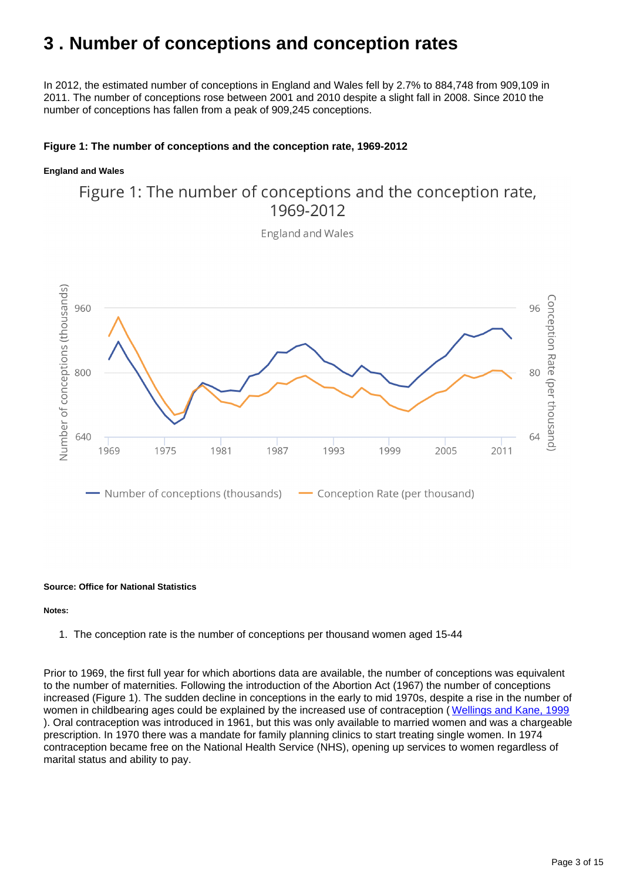### <span id="page-2-0"></span>**3 . Number of conceptions and conception rates**

In 2012, the estimated number of conceptions in England and Wales fell by 2.7% to 884,748 from 909,109 in 2011. The number of conceptions rose between 2001 and 2010 despite a slight fall in 2008. Since 2010 the number of conceptions has fallen from a peak of 909,245 conceptions.

### **Figure 1: The number of conceptions and the conception rate, 1969-2012**

#### **England and Wales**

### Figure 1: The number of conceptions and the conception rate, 1969-2012

**England and Wales** 



#### **Source: Office for National Statistics**

#### **Notes:**

1. The conception rate is the number of conceptions per thousand women aged 15-44

Prior to 1969, the first full year for which abortions data are available, the number of conceptions was equivalent to the number of maternities. Following the introduction of the Abortion Act (1967) the number of conceptions increased (Figure 1). The sudden decline in conceptions in the early to mid 1970s, despite a rise in the number of women in childbearing ages could be explained by the increased use of contraception ( [Wellings and Kane, 1999](http://www.ncbi.nlm.nih.gov/pmc/articles/PMC1297204/?page=1) ). Oral contraception was introduced in 1961, but this was only available to married women and was a chargeable prescription. In 1970 there was a mandate for family planning clinics to start treating single women. In 1974 contraception became free on the National Health Service (NHS), opening up services to women regardless of marital status and ability to pay.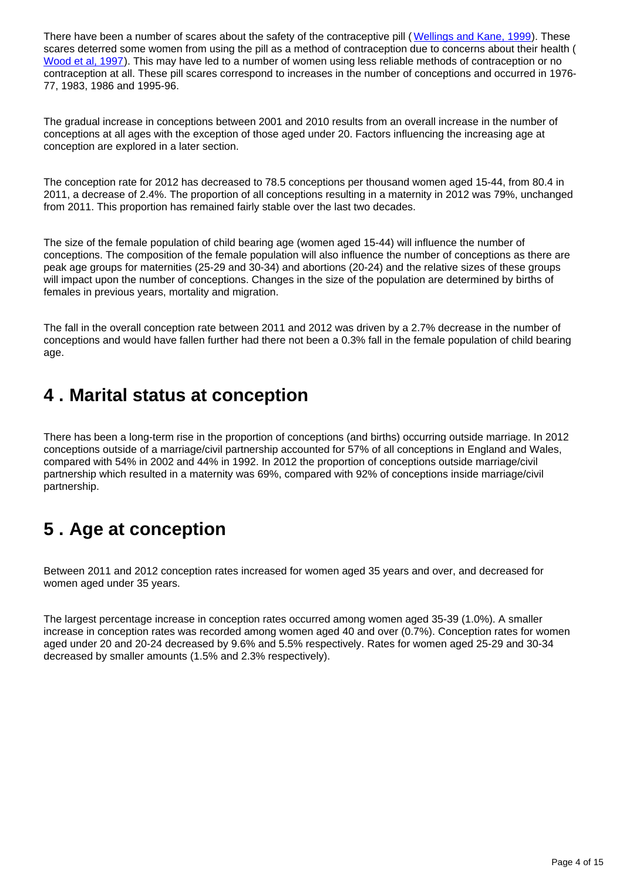There have been a number of scares about the safety of the contraceptive pill ([Wellings and Kane, 1999](http://www.ncbi.nlm.nih.gov/pmc/articles/PMC1297204/?page=1)). These scares deterred some women from using the pill as a method of contraception due to concerns about their health ( [Wood et al, 1997\)](http://www.ons.gov.uk/ons/rel/population-trends-rd/population-trends/no--89--autumn-1997/bdl-population-trends-no--89--autumn-1997.pdf). This may have led to a number of women using less reliable methods of contraception or no contraception at all. These pill scares correspond to increases in the number of conceptions and occurred in 1976- 77, 1983, 1986 and 1995-96.

The gradual increase in conceptions between 2001 and 2010 results from an overall increase in the number of conceptions at all ages with the exception of those aged under 20. Factors influencing the increasing age at conception are explored in a later section.

The conception rate for 2012 has decreased to 78.5 conceptions per thousand women aged 15-44, from 80.4 in 2011, a decrease of 2.4%. The proportion of all conceptions resulting in a maternity in 2012 was 79%, unchanged from 2011. This proportion has remained fairly stable over the last two decades.

The size of the female population of child bearing age (women aged 15-44) will influence the number of conceptions. The composition of the female population will also influence the number of conceptions as there are peak age groups for maternities (25-29 and 30-34) and abortions (20-24) and the relative sizes of these groups will impact upon the number of conceptions. Changes in the size of the population are determined by births of females in previous years, mortality and migration.

The fall in the overall conception rate between 2011 and 2012 was driven by a 2.7% decrease in the number of conceptions and would have fallen further had there not been a 0.3% fall in the female population of child bearing age.

### <span id="page-3-0"></span>**4 . Marital status at conception**

There has been a long-term rise in the proportion of conceptions (and births) occurring outside marriage. In 2012 conceptions outside of a marriage/civil partnership accounted for 57% of all conceptions in England and Wales, compared with 54% in 2002 and 44% in 1992. In 2012 the proportion of conceptions outside marriage/civil partnership which resulted in a maternity was 69%, compared with 92% of conceptions inside marriage/civil partnership.

## <span id="page-3-1"></span>**5 . Age at conception**

Between 2011 and 2012 conception rates increased for women aged 35 years and over, and decreased for women aged under 35 years.

The largest percentage increase in conception rates occurred among women aged 35-39 (1.0%). A smaller increase in conception rates was recorded among women aged 40 and over (0.7%). Conception rates for women aged under 20 and 20-24 decreased by 9.6% and 5.5% respectively. Rates for women aged 25-29 and 30-34 decreased by smaller amounts (1.5% and 2.3% respectively).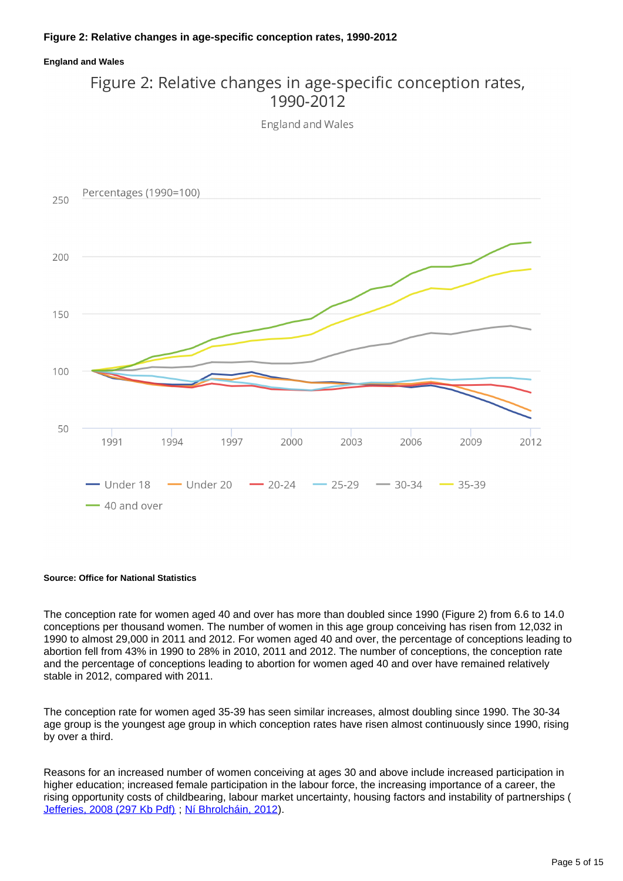#### **England and Wales**

### Figure 2: Relative changes in age-specific conception rates, 1990-2012

**England and Wales** 



#### **Source: Office for National Statistics**

The conception rate for women aged 40 and over has more than doubled since 1990 (Figure 2) from 6.6 to 14.0 conceptions per thousand women. The number of women in this age group conceiving has risen from 12,032 in 1990 to almost 29,000 in 2011 and 2012. For women aged 40 and over, the percentage of conceptions leading to abortion fell from 43% in 1990 to 28% in 2010, 2011 and 2012. The number of conceptions, the conception rate and the percentage of conceptions leading to abortion for women aged 40 and over have remained relatively stable in 2012, compared with 2011.

The conception rate for women aged 35-39 has seen similar increases, almost doubling since 1990. The 30-34 age group is the youngest age group in which conception rates have risen almost continuously since 1990, rising by over a third.

Reasons for an increased number of women conceiving at ages 30 and above include increased participation in higher education; increased female participation in the labour force, the increasing importance of a career, the rising opportunity costs of childbearing, labour market uncertainty, housing factors and instability of partnerships ( [Jefferies, 2008 \(297 Kb Pdf\)](http://www.ons.gov.uk/ons/rel/population-trends-rd/population-trends/no--131--spring-2008/fertility-assumptions-for-the-2006-based-national-population-projections.pdf), [Ní Bhrolcháin, 2012\)](http://www.tandfonline.com/doi/pdf/10.1080/00324728.2012.697569).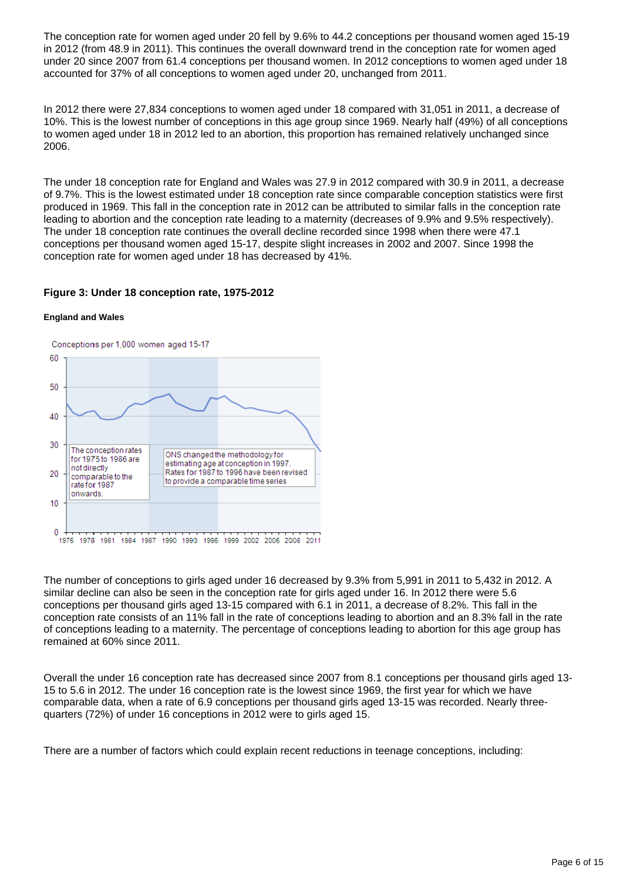The conception rate for women aged under 20 fell by 9.6% to 44.2 conceptions per thousand women aged 15-19 in 2012 (from 48.9 in 2011). This continues the overall downward trend in the conception rate for women aged under 20 since 2007 from 61.4 conceptions per thousand women. In 2012 conceptions to women aged under 18 accounted for 37% of all conceptions to women aged under 20, unchanged from 2011.

In 2012 there were 27,834 conceptions to women aged under 18 compared with 31,051 in 2011, a decrease of 10%. This is the lowest number of conceptions in this age group since 1969. Nearly half (49%) of all conceptions to women aged under 18 in 2012 led to an abortion, this proportion has remained relatively unchanged since 2006.

The under 18 conception rate for England and Wales was 27.9 in 2012 compared with 30.9 in 2011, a decrease of 9.7%. This is the lowest estimated under 18 conception rate since comparable conception statistics were first produced in 1969. This fall in the conception rate in 2012 can be attributed to similar falls in the conception rate leading to abortion and the conception rate leading to a maternity (decreases of 9.9% and 9.5% respectively). The under 18 conception rate continues the overall decline recorded since 1998 when there were 47.1 conceptions per thousand women aged 15-17, despite slight increases in 2002 and 2007. Since 1998 the conception rate for women aged under 18 has decreased by 41%.

#### **Figure 3: Under 18 conception rate, 1975-2012**

#### **England and Wales**



The number of conceptions to girls aged under 16 decreased by 9.3% from 5,991 in 2011 to 5,432 in 2012. A similar decline can also be seen in the conception rate for girls aged under 16. In 2012 there were 5.6 conceptions per thousand girls aged 13-15 compared with 6.1 in 2011, a decrease of 8.2%. This fall in the conception rate consists of an 11% fall in the rate of conceptions leading to abortion and an 8.3% fall in the rate of conceptions leading to a maternity. The percentage of conceptions leading to abortion for this age group has remained at 60% since 2011.

Overall the under 16 conception rate has decreased since 2007 from 8.1 conceptions per thousand girls aged 13- 15 to 5.6 in 2012. The under 16 conception rate is the lowest since 1969, the first year for which we have comparable data, when a rate of 6.9 conceptions per thousand girls aged 13-15 was recorded. Nearly threequarters (72%) of under 16 conceptions in 2012 were to girls aged 15.

There are a number of factors which could explain recent reductions in teenage conceptions, including: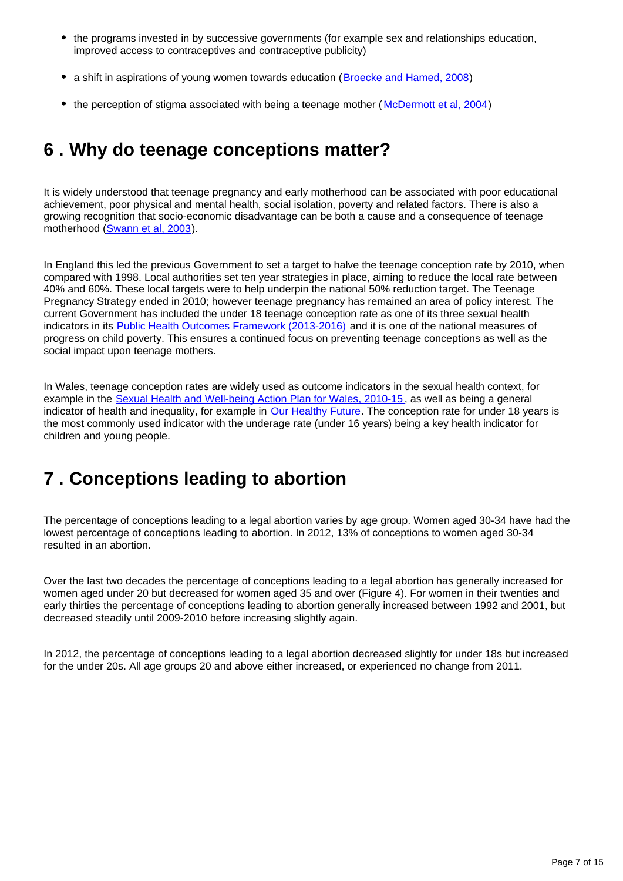- the programs invested in by successive governments (for example sex and relationships education, improved access to contraceptives and contraceptive publicity)
- a shift in aspirations of young women towards education ([Broecke and Hamed, 2008\)](http://www.bis.gov.uk/assets/biscore/corporate/migratedD/publications/D/DIUS_RR_08_14)
- the perception of stigma associated with being a teenage mother (McDermott et al. 2004)

## <span id="page-6-0"></span>**6 . Why do teenage conceptions matter?**

It is widely understood that teenage pregnancy and early motherhood can be associated with poor educational achievement, poor physical and mental health, social isolation, poverty and related factors. There is also a growing recognition that socio-economic disadvantage can be both a cause and a consequence of teenage motherhood ([Swann et al, 2003](http://www.nice.org.uk/niceMedia/documents/teenpreg_evidence_briefing_summary.pdf)).

In England this led the previous Government to set a target to halve the teenage conception rate by 2010, when compared with 1998. Local authorities set ten year strategies in place, aiming to reduce the local rate between 40% and 60%. These local targets were to help underpin the national 50% reduction target. The Teenage Pregnancy Strategy ended in 2010; however teenage pregnancy has remained an area of policy interest. The current Government has included the under 18 teenage conception rate as one of its three sexual health indicators in its [Public Health Outcomes Framework \(2013-2016\)](https://www.gov.uk/government/publications/healthy-lives-healthy-people-improving-outcomes-and-supporting-transparency) and it is one of the national measures of progress on child poverty. This ensures a continued focus on preventing teenage conceptions as well as the social impact upon teenage mothers.

In Wales, teenage conception rates are widely used as outcome indicators in the sexual health context, for example in the [Sexual Health and Well-being Action Plan for Wales, 2010-15](http://wales.gov.uk/topics/health/improvement/index/sexualhealth/?lang=en), as well as being a general indicator of health and inequality, for example in [Our Healthy Future](http://wales.gov.uk/topics/health/cmo/healthy/?lang=en). The conception rate for under 18 years is the most commonly used indicator with the underage rate (under 16 years) being a key health indicator for children and young people.

## <span id="page-6-1"></span>**7 . Conceptions leading to abortion**

The percentage of conceptions leading to a legal abortion varies by age group. Women aged 30-34 have had the lowest percentage of conceptions leading to abortion. In 2012, 13% of conceptions to women aged 30-34 resulted in an abortion.

Over the last two decades the percentage of conceptions leading to a legal abortion has generally increased for women aged under 20 but decreased for women aged 35 and over (Figure 4). For women in their twenties and early thirties the percentage of conceptions leading to abortion generally increased between 1992 and 2001, but decreased steadily until 2009-2010 before increasing slightly again.

In 2012, the percentage of conceptions leading to a legal abortion decreased slightly for under 18s but increased for the under 20s. All age groups 20 and above either increased, or experienced no change from 2011.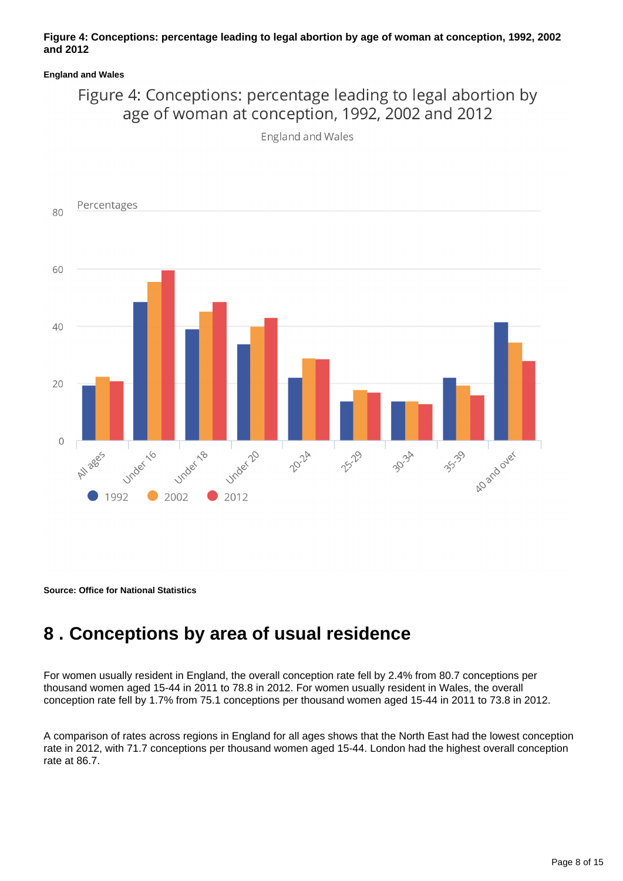#### **Figure 4: Conceptions: percentage leading to legal abortion by age of woman at conception, 1992, 2002 and 2012**

#### **England and Wales**

### Figure 4: Conceptions: percentage leading to legal abortion by age of woman at conception, 1992, 2002 and 2012

England and Wales



**Source: Office for National Statistics**

### <span id="page-7-0"></span>**8 . Conceptions by area of usual residence**

For women usually resident in England, the overall conception rate fell by 2.4% from 80.7 conceptions per thousand women aged 15-44 in 2011 to 78.8 in 2012. For women usually resident in Wales, the overall conception rate fell by 1.7% from 75.1 conceptions per thousand women aged 15-44 in 2011 to 73.8 in 2012.

A comparison of rates across regions in England for all ages shows that the North East had the lowest conception rate in 2012, with 71.7 conceptions per thousand women aged 15-44. London had the highest overall conception rate at 86.7.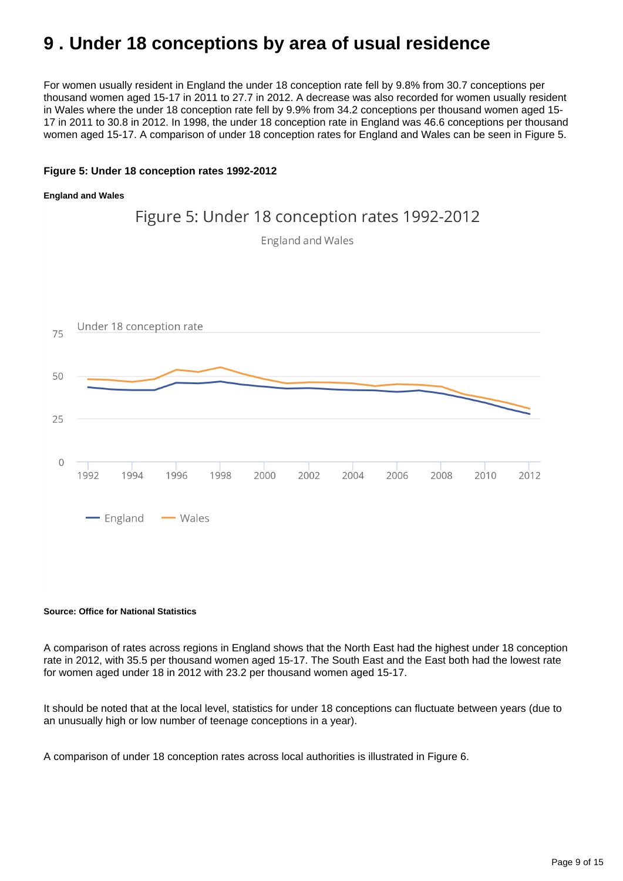## <span id="page-8-0"></span>**9 . Under 18 conceptions by area of usual residence**

For women usually resident in England the under 18 conception rate fell by 9.8% from 30.7 conceptions per thousand women aged 15-17 in 2011 to 27.7 in 2012. A decrease was also recorded for women usually resident in Wales where the under 18 conception rate fell by 9.9% from 34.2 conceptions per thousand women aged 15- 17 in 2011 to 30.8 in 2012. In 1998, the under 18 conception rate in England was 46.6 conceptions per thousand women aged 15-17. A comparison of under 18 conception rates for England and Wales can be seen in Figure 5.

#### **Figure 5: Under 18 conception rates 1992-2012**

#### **England and Wales**



#### **Source: Office for National Statistics**

A comparison of rates across regions in England shows that the North East had the highest under 18 conception rate in 2012, with 35.5 per thousand women aged 15-17. The South East and the East both had the lowest rate for women aged under 18 in 2012 with 23.2 per thousand women aged 15-17.

It should be noted that at the local level, statistics for under 18 conceptions can fluctuate between years (due to an unusually high or low number of teenage conceptions in a year).

A comparison of under 18 conception rates across local authorities is illustrated in Figure 6.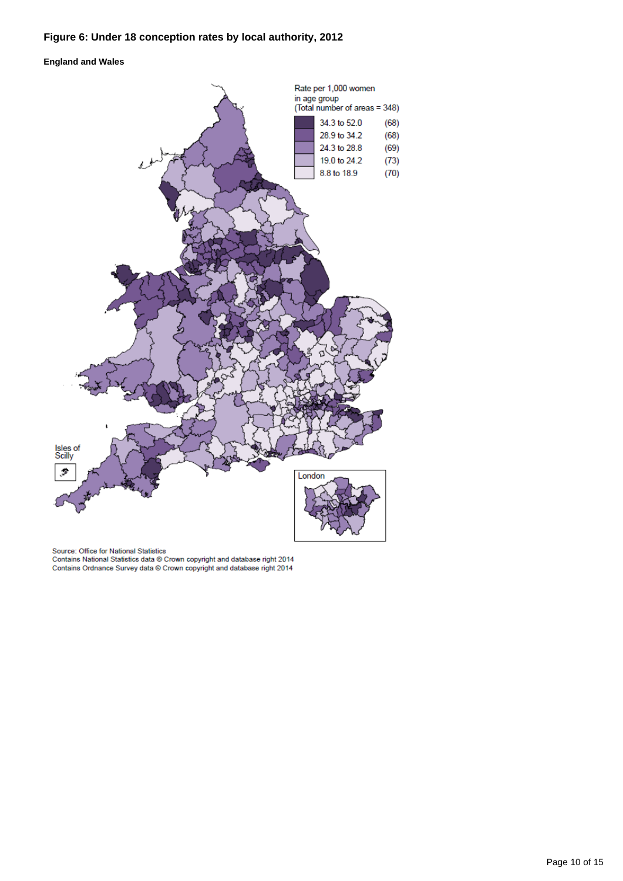### **Figure 6: Under 18 conception rates by local authority, 2012**

#### **England and Wales**



Source: Office for National Statistics<br>Contains National Statistics data © Crown copyright and database right 2014<br>Contains Ordnance Survey data © Crown copyright and database right 2014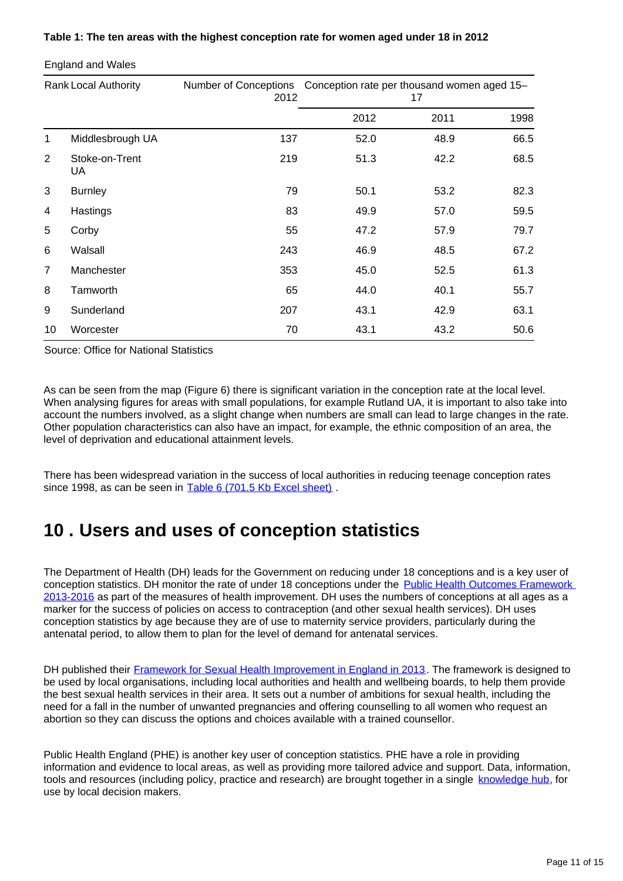### **Table 1: The ten areas with the highest conception rate for women aged under 18 in 2012**

Rank Local Authority Number of Conceptions 2012 Conception rate per thousand women aged 15– 17 2011 1998 Middlesbrough UA 137 52.0 48.9 66.5 Stoke-on-Trent UA 51.3 42.2 68.5 Burnley 79 50.1 53.2 82.3 Hastings 83 49.9 57.0 59.5 Corby 55 47.2 57.9 79.7 Walsall 243 46.9 48.5 67.2 Manchester 353 45.0 52.5 61.3 Tamworth 65 44.0 40.1 55.7 Sunderland 207 43.1 42.9 63.1 Worcester 70 43.1 43.2 50.6

England and Wales

Source: Office for National Statistics

As can be seen from the map (Figure 6) there is significant variation in the conception rate at the local level. When analysing figures for areas with small populations, for example Rutland UA, it is important to also take into account the numbers involved, as a slight change when numbers are small can lead to large changes in the rate. Other population characteristics can also have an impact, for example, the ethnic composition of an area, the level of deprivation and educational attainment levels.

There has been widespread variation in the success of local authorities in reducing teenage conception rates since 1998, as can be seen in [Table 6 \(701.5 Kb Excel sheet\)](http://www.ons.gov.uk/ons/rel/vsob1/conception-statistics--england-and-wales/2012/rft-conception-statistics-2012.xls).

### <span id="page-10-0"></span>**10 . Users and uses of conception statistics**

The Department of Health (DH) leads for the Government on reducing under 18 conceptions and is a key user of conception statistics. DH monitor the rate of under 18 conceptions under the Public Health Outcomes Framework [2013-2016](http://www.dh.gov.uk/en/Publicationsandstatistics/Publications/PublicationsPolicyAndGuidance/DH_132358) as part of the measures of health improvement. DH uses the numbers of conceptions at all ages as a marker for the success of policies on access to contraception (and other sexual health services). DH uses conception statistics by age because they are of use to maternity service providers, particularly during the antenatal period, to allow them to plan for the level of demand for antenatal services.

DH published their [Framework for Sexual Health Improvement in England in 2013.](http://www.dh.gov.uk/health/2013/03/sex-health-framework/) The framework is designed to be used by local organisations, including local authorities and health and wellbeing boards, to help them provide the best sexual health services in their area. It sets out a number of ambitions for sexual health, including the need for a fall in the number of unwanted pregnancies and offering counselling to all women who request an abortion so they can discuss the options and choices available with a trained counsellor.

Public Health England (PHE) is another key user of conception statistics. PHE have a role in providing information and evidence to local areas, as well as providing more tailored advice and support. Data, information, tools and resources (including policy, practice and research) are brought together in a single [knowledge hub](http://www.chimat.org.uk/teenconceptions), for use by local decision makers.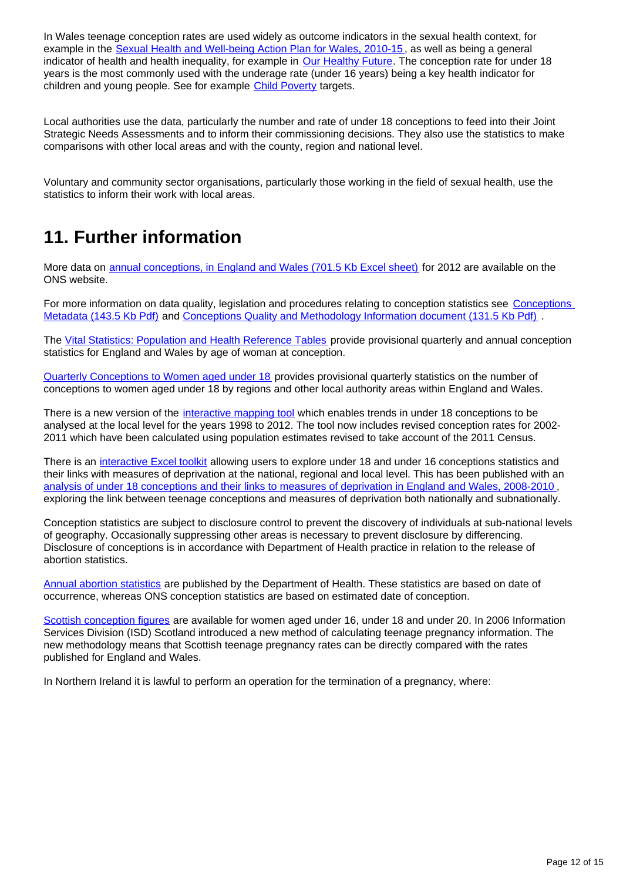In Wales teenage conception rates are used widely as outcome indicators in the sexual health context, for example in the [Sexual Health and Well-being Action Plan for Wales, 2010-15](http://wales.gov.uk/topics/health/improvement/index/sexualhealth/?lang=en), as well as being a general indicator of health and health inequality, for example in [Our Healthy Future.](http://wales.gov.uk/topics/health/cmo/healthy/?lang=en) The conception rate for under 18 years is the most commonly used with the underage rate (under 16 years) being a key health indicator for children and young people. See for example [Child Poverty](http://wales.gov.uk/topics/people-and-communities/tacklingpoverty/publications/taking-forward-tack-pov-plan/?lang=en) targets.

Local authorities use the data, particularly the number and rate of under 18 conceptions to feed into their Joint Strategic Needs Assessments and to inform their commissioning decisions. They also use the statistics to make comparisons with other local areas and with the county, region and national level.

Voluntary and community sector organisations, particularly those working in the field of sexual health, use the statistics to inform their work with local areas.

## **11. Further information**

More data on [annual conceptions, in England and Wales \(701.5 Kb Excel sheet\)](http://www.ons.gov.uk/ons/rel/vsob1/conception-statistics--england-and-wales/2012/rft-conception-statistics-2012.xls) for 2012 are available on the ONS website.

For more information on data quality, legislation and procedures relating to conception statistics see [Conceptions](http://www.ons.gov.uk/ons/guide-method/user-guidance/health-and-life-events/conceptions-metadata.pdf)  [Metadata \(143.5 Kb Pdf\)](http://www.ons.gov.uk/ons/guide-method/user-guidance/health-and-life-events/conceptions-metadata.pdf) and [Conceptions Quality and Methodology Information document \(131.5 Kb Pdf\)](http://www.ons.gov.uk/ons/guide-method/method-quality/quality/quality-information/health-and-social-care/quality-and-methodology-information-for-conception-statistics.pdf) .

The [Vital Statistics: Population and Health Reference Tables](http://www.ons.gov.uk/ons/rel/vsob1/vital-statistics--population-and-health-reference-tables/index.html) provide provisional quarterly and annual conception statistics for England and Wales by age of woman at conception.

[Quarterly Conceptions to Women aged under 18](http://www.ons.gov.uk/ons/rel/vsob1/quart-conc-to-women-und-18/index.html) provides provisional quarterly statistics on the number of conceptions to women aged under 18 by regions and other local authority areas within England and Wales.

There is a new version of the [interactive mapping tool](http://www.neighbourhood.statistics.gov.uk/HTMLDocs/dvc130/index.html) which enables trends in under 18 conceptions to be analysed at the local level for the years 1998 to 2012. The tool now includes revised conception rates for 2002- 2011 which have been calculated using population estimates revised to take account of the 2011 Census.

There is an [interactive Excel toolkit](http://www.neighbourhood.statistics.gov.uk/dissemination/Info.do;jessionid=nrhwRbnFrj6QhMnvYCCJTc0XMdnkhTv40yZVBFzM8gKhT5TWT26Y!-1201472876!1360752357334?m=0&s=1360752357334&enc=1&page=analysisandguidance/analysisarticles/conceptions-deprivation-analysis-toolkit.htm&nsjs=true&nsck=true&nssvg=false&nswid=1276) allowing users to explore under 18 and under 16 conceptions statistics and their links with measures of deprivation at the national, regional and local level. This has been published with an [analysis of under 18 conceptions and their links to measures of deprivation in England and Wales, 2008-2010](http://www.ons.gov.uk/ons/rel/regional-trends/area-based-analysis/conceptions-and-deprivation-analysis--england-and-wales--2008-10.html) , exploring the link between teenage conceptions and measures of deprivation both nationally and subnationally.

Conception statistics are subject to disclosure control to prevent the discovery of individuals at sub-national levels of geography. Occasionally suppressing other areas is necessary to prevent disclosure by differencing. Disclosure of conceptions is in accordance with Department of Health practice in relation to the release of abortion statistics.

[Annual abortion statistics](https://www.gov.uk/government/collections/abortion-statistics-for-england-and-wales) are published by the Department of Health. These statistics are based on date of occurrence, whereas ONS conception statistics are based on estimated date of conception.

[Scottish conception figures](http://www.ons.gov.uk/ons/external-links/devolved-admins/scottish-government/gro-scotland--teenage-pregnancy.html) are available for women aged under 16, under 18 and under 20. In 2006 Information Services Division (ISD) Scotland introduced a new method of calculating teenage pregnancy information. The new methodology means that Scottish teenage pregnancy rates can be directly compared with the rates published for England and Wales.

In Northern Ireland it is lawful to perform an operation for the termination of a pregnancy, where: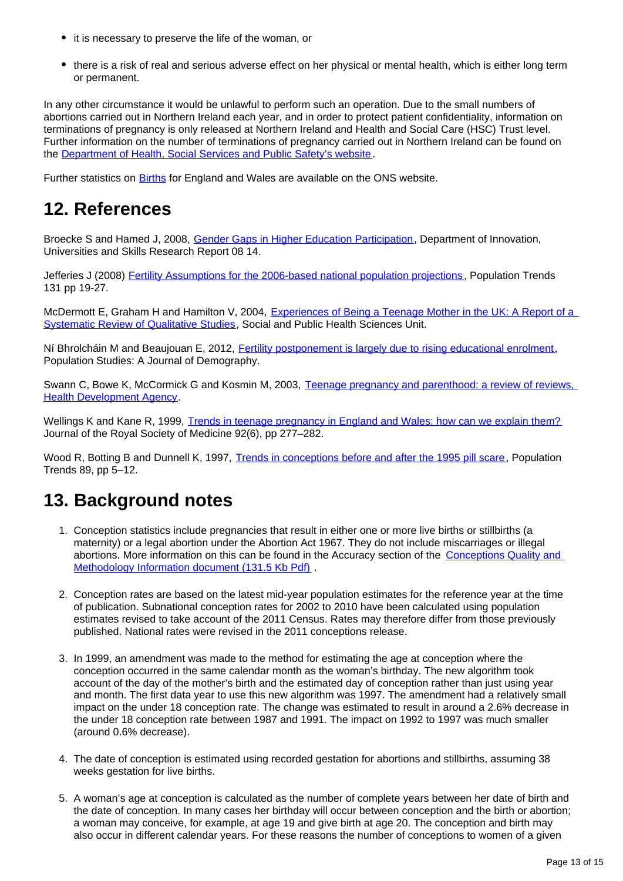- it is necessary to preserve the life of the woman, or
- there is a risk of real and serious adverse effect on her physical or mental health, which is either long term or permanent.

In any other circumstance it would be unlawful to perform such an operation. Due to the small numbers of abortions carried out in Northern Ireland each year, and in order to protect patient confidentiality, information on terminations of pregnancy is only released at Northern Ireland and Health and Social Care (HSC) Trust level. Further information on the number of terminations of pregnancy carried out in Northern Ireland can be found on the [Department of Health, Social Services and Public Safety's website.](http://www.dhsspsni.gov.uk/northern_ireland_termination_of_pregnancy_statistics_1213.pdf)

Further statistics on **Births** for England and Wales are available on the ONS website.

### **12. References**

Broecke S and Hamed J, 2008, [Gender Gaps in Higher Education Participation,](http://www.bis.gov.uk/assets/BISCore/corporate/MigratedD/publications/D/DIUS_RR_08_14.pdf) Department of Innovation, Universities and Skills Research Report 08 14.

Jefferies J (2008) [Fertility Assumptions for the 2006-based national population projections](http://www.ons.gov.uk/ons/rel/population-trends-rd/population-trends/no--131--spring-2008/fertility-assumptions-for-the-2006-based-national-population-projections.pdf), Population Trends 131 pp 19-27.

McDermott E, Graham H and Hamilton V, 2004, [Experiences of Being a Teenage Mother in the UK: A Report of a](http://www.sphsu.mrc.ac.uk/Evidence/Research/Review%2010/SR%20Executive%20Summary.pdf)  [Systematic Review of Qualitative Studies,](http://www.sphsu.mrc.ac.uk/Evidence/Research/Review%2010/SR%20Executive%20Summary.pdf) Social and Public Health Sciences Unit.

Ní Bhrolcháin M and Beaujouan E, 2012, [Fertility postponement is largely due to rising educational enrolment](http://www.tandfonline.com/doi/pdf/10.1080/00324728.2012.697569), Population Studies: A Journal of Demography.

Swann C, Bowe K, McCormick G and Kosmin M, 2003, [Teenage pregnancy and parenthood: a review of reviews,](http://www.sphsu.mrc.ac.uk/Evidence/Research/Review%2010/SR%20Executive%20Summary.pdf)  **[Health Development Agency](http://www.sphsu.mrc.ac.uk/Evidence/Research/Review%2010/SR%20Executive%20Summary.pdf).** 

Wellings K and Kane R, 1999, [Trends in teenage pregnancy in England and Wales: how can we explain them?](http://www.ncbi.nlm.nih.gov/pmc/articles/PMC1297204/?page=1) Journal of the Royal Society of Medicine 92(6), pp 277–282.

Wood R, Botting B and Dunnell K, 1997, [Trends in conceptions before and after the 1995 pill scare,](http://www.ons.gov.uk/ons/rel/population-trends-rd/population-trends/no--89--autumn-1997.html) Population Trends 89, pp 5–12.

## **13. Background notes**

- 1. Conception statistics include pregnancies that result in either one or more live births or stillbirths (a maternity) or a legal abortion under the Abortion Act 1967. They do not include miscarriages or illegal abortions. More information on this can be found in the Accuracy section of the [Conceptions Quality and](http://www.ons.gov.uk/ons/guide-method/method-quality/quality/quality-information/health-and-social-care/quality-and-methodology-information-for-conception-statistics.pdf)  [Methodology Information document \(131.5 Kb Pdf\)](http://www.ons.gov.uk/ons/guide-method/method-quality/quality/quality-information/health-and-social-care/quality-and-methodology-information-for-conception-statistics.pdf).
- 2. Conception rates are based on the latest mid-year population estimates for the reference year at the time of publication. Subnational conception rates for 2002 to 2010 have been calculated using population estimates revised to take account of the 2011 Census. Rates may therefore differ from those previously published. National rates were revised in the 2011 conceptions release.
- 3. In 1999, an amendment was made to the method for estimating the age at conception where the conception occurred in the same calendar month as the woman's birthday. The new algorithm took account of the day of the mother's birth and the estimated day of conception rather than just using year and month. The first data year to use this new algorithm was 1997. The amendment had a relatively small impact on the under 18 conception rate. The change was estimated to result in around a 2.6% decrease in the under 18 conception rate between 1987 and 1991. The impact on 1992 to 1997 was much smaller (around 0.6% decrease).
- 4. The date of conception is estimated using recorded gestation for abortions and stillbirths, assuming 38 weeks gestation for live births.
- 5. A woman's age at conception is calculated as the number of complete years between her date of birth and the date of conception. In many cases her birthday will occur between conception and the birth or abortion; a woman may conceive, for example, at age 19 and give birth at age 20. The conception and birth may also occur in different calendar years. For these reasons the number of conceptions to women of a given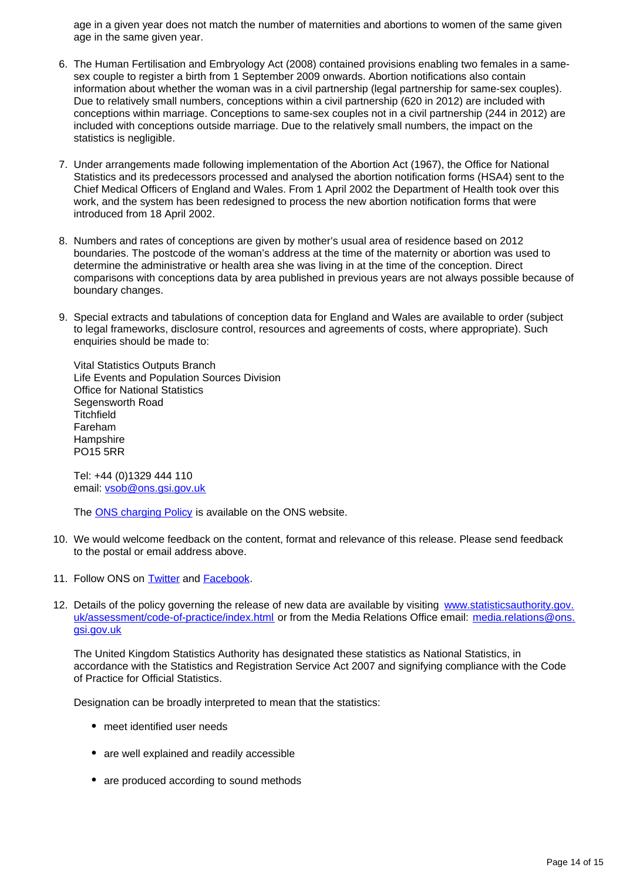age in a given year does not match the number of maternities and abortions to women of the same given age in the same given year.

- 6. The Human Fertilisation and Embryology Act (2008) contained provisions enabling two females in a samesex couple to register a birth from 1 September 2009 onwards. Abortion notifications also contain information about whether the woman was in a civil partnership (legal partnership for same-sex couples). Due to relatively small numbers, conceptions within a civil partnership (620 in 2012) are included with conceptions within marriage. Conceptions to same-sex couples not in a civil partnership (244 in 2012) are included with conceptions outside marriage. Due to the relatively small numbers, the impact on the statistics is negligible.
- 7. Under arrangements made following implementation of the Abortion Act (1967), the Office for National Statistics and its predecessors processed and analysed the abortion notification forms (HSA4) sent to the Chief Medical Officers of England and Wales. From 1 April 2002 the Department of Health took over this work, and the system has been redesigned to process the new abortion notification forms that were introduced from 18 April 2002.
- 8. Numbers and rates of conceptions are given by mother's usual area of residence based on 2012 boundaries. The postcode of the woman's address at the time of the maternity or abortion was used to determine the administrative or health area she was living in at the time of the conception. Direct comparisons with conceptions data by area published in previous years are not always possible because of boundary changes.
- 9. Special extracts and tabulations of conception data for England and Wales are available to order (subject to legal frameworks, disclosure control, resources and agreements of costs, where appropriate). Such enquiries should be made to:

Vital Statistics Outputs Branch Life Events and Population Sources Division Office for National Statistics Segensworth Road **Titchfield** Fareham **Hampshire** PO15 5RR

Tel: +44 (0)1329 444 110 email: vsob@ons.gsi.gov.uk

The [ONS charging Policy](http://www.ons.gov.uk/ons/about-ons/business-transparency/freedom-of-information/ons-charging-policy/index.html) is available on the ONS website.

- 10. We would welcome feedback on the content, format and relevance of this release. Please send feedback to the postal or email address above.
- 11. Follow ONS on **Twitter** and **Facebook**.
- 12. Details of the policy governing the release of new data are available by visiting www.statisticsauthority.gov. uk/assessment/code-of-practice/index.html or from the Media Relations Office email: media.relations@ons. gsi.gov.uk

The United Kingdom Statistics Authority has designated these statistics as National Statistics, in accordance with the Statistics and Registration Service Act 2007 and signifying compliance with the Code of Practice for Official Statistics.

Designation can be broadly interpreted to mean that the statistics:

- meet identified user needs
- are well explained and readily accessible
- are produced according to sound methods